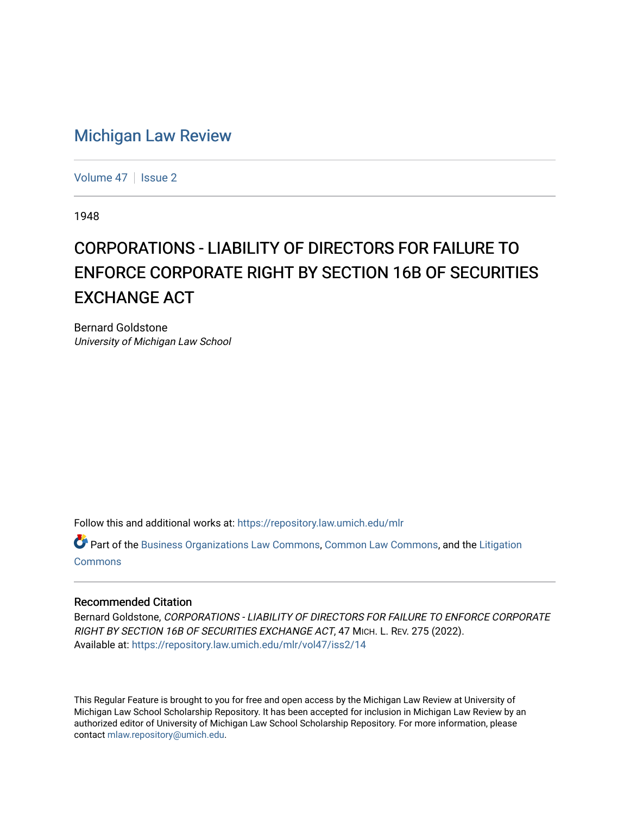## [Michigan Law Review](https://repository.law.umich.edu/mlr)

[Volume 47](https://repository.law.umich.edu/mlr/vol47) | [Issue 2](https://repository.law.umich.edu/mlr/vol47/iss2)

1948

## CORPORATIONS - LIABILITY OF DIRECTORS FOR FAILURE TO ENFORCE CORPORATE RIGHT BY SECTION 16B OF SECURITIES EXCHANGE ACT

Bernard Goldstone University of Michigan Law School

Follow this and additional works at: [https://repository.law.umich.edu/mlr](https://repository.law.umich.edu/mlr?utm_source=repository.law.umich.edu%2Fmlr%2Fvol47%2Fiss2%2F14&utm_medium=PDF&utm_campaign=PDFCoverPages) 

Part of the [Business Organizations Law Commons](http://network.bepress.com/hgg/discipline/900?utm_source=repository.law.umich.edu%2Fmlr%2Fvol47%2Fiss2%2F14&utm_medium=PDF&utm_campaign=PDFCoverPages), [Common Law Commons,](http://network.bepress.com/hgg/discipline/1120?utm_source=repository.law.umich.edu%2Fmlr%2Fvol47%2Fiss2%2F14&utm_medium=PDF&utm_campaign=PDFCoverPages) and the [Litigation](http://network.bepress.com/hgg/discipline/910?utm_source=repository.law.umich.edu%2Fmlr%2Fvol47%2Fiss2%2F14&utm_medium=PDF&utm_campaign=PDFCoverPages)  [Commons](http://network.bepress.com/hgg/discipline/910?utm_source=repository.law.umich.edu%2Fmlr%2Fvol47%2Fiss2%2F14&utm_medium=PDF&utm_campaign=PDFCoverPages)

## Recommended Citation

Bernard Goldstone, CORPORATIONS - LIABILITY OF DIRECTORS FOR FAILURE TO ENFORCE CORPORATE RIGHT BY SECTION 16B OF SECURITIES EXCHANGE ACT, 47 MICH. L. REV. 275 (2022). Available at: [https://repository.law.umich.edu/mlr/vol47/iss2/14](https://repository.law.umich.edu/mlr/vol47/iss2/14?utm_source=repository.law.umich.edu%2Fmlr%2Fvol47%2Fiss2%2F14&utm_medium=PDF&utm_campaign=PDFCoverPages) 

This Regular Feature is brought to you for free and open access by the Michigan Law Review at University of Michigan Law School Scholarship Repository. It has been accepted for inclusion in Michigan Law Review by an authorized editor of University of Michigan Law School Scholarship Repository. For more information, please contact [mlaw.repository@umich.edu](mailto:mlaw.repository@umich.edu).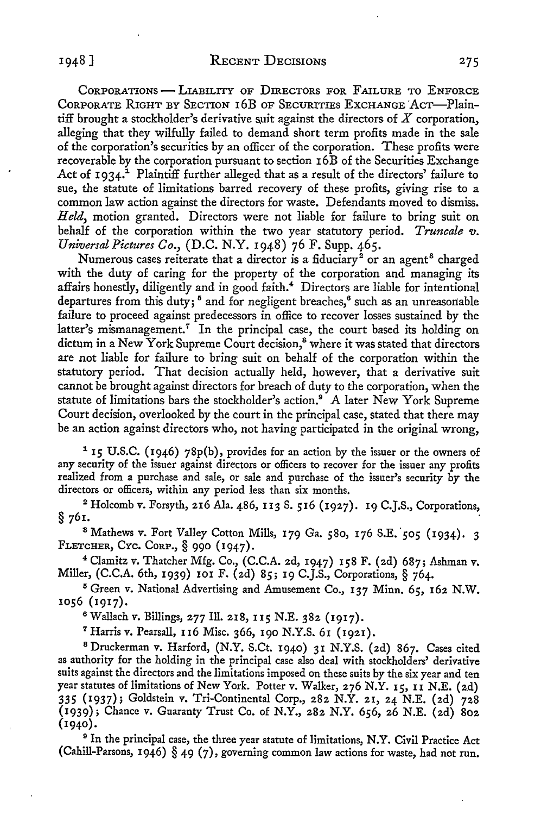CORPORATIONS - LIABILITY OF DIRECTORS FOR FAILURE TO ENFORCE CoRPORATE RIGHT BY SECTION I 6B OF SECURITIES ExcHANGE 'Acr-Plaintiff brought a stockholder's derivative suit against the directors of  $X$  corporation, alleging that they wilfully failed to demand short term profits made in the sale of the corporation's securities by an officer of the corporation. These profits were recoverable by the corporation pursuant to section 16B of the Securities Exchange Act of  $1934$ .<sup>1</sup> Plaintiff further alleged that as a result of the directors' failure to sue, the statute of limitations barred recovery of these profits, giving rise to a common law action against the directors for waste. Defendants moved to dismiss. *Held,* motion granted. Directors were not liable for failure to bring suit on behalf of the corporation within the two year statutory period. *Truncale v*. *Universal Pictures Co.,* (D.C. N.Y. 1948) 76 F. Supp. 465.

Numerous cases reiterate that a director is a fiduciary<sup>2</sup> or an agent<sup>8</sup> charged with the duty of caring for the property of the corporation and managing its affairs honestly, diligently and in good faith.<sup>4</sup> Directors are liable for intentional departures from this duty;<sup>5</sup> and for negligent breaches,<sup>6</sup> such as an unreasonable failure to proceed against predecessors in office to recover losses sustained by the latter's mismanagement.<sup>7</sup> In the principal case, the court based its holding on dictum in a New York Supreme Court decision,<sup>8</sup> where it was stated that directors are not liable for failure to bring suit on behalf of the corporation within the statutory period. That decision actually held, however, that a derivative suit cannot be brought against directors for breach of duty to the corporation, when the statute of limitations bars the stockholder's action.<sup>9</sup> A later New York Supreme Court decision, overlooked by the court in the principal case, stated that there may be an action against directors who, not having participated in the original wrong,

<sup>1</sup>**15** U.S.C. (1946) 78p(b), provides for an action by the issuer or the owners of any security of the issuer against directors or officers to recover for the issuer any profits realized from a purchase and sale, or sale and purchase of the issuer's security by the directors or officers, within any period less than six months.

<sup>2</sup> Holcomb v. Forsyth, 216 Ala. 486, 113 S. 516 (1927). 19 C.J.S., Corporations,  $\S$  761.  $§$  761.

<sup>3</sup> Mathews v. Fort Valley Cotton Mills, 179 Ga. 580, 176 S.E. 505 (1934). 3 FLETCHER, CYc. CORP.,§ 990 (1947).

<sup>4</sup> Clamitz v. Thatcher Mfg. Co., (C.C.A. 2d, 1947) 158 F. (2d) 687; Ashman v. Miller, (C.C.A. 6th, 1939) 101 F. (2d) 85; 19 C.J.S., Corporations,§ 764.

<sup>5</sup>Green v. National Advertising and Amusement Co., 137 Minn. 65, 162 N.W. 1056 (1917).

<sup>6</sup> Wallach v. Billings, 277 Ill. 218, II5 N.E. 382 (1917).

<sup>7</sup>Harris v. Pearsall, II6 Misc. 366, 190 N.Y.S. 61 (1921).

<sup>8</sup> Druckerman v. Harford, (N.Y. S.Ct. 1940) 31 N.Y.S. (2d) 867. Cases cited as authority for the holding in the principal case also deal with stockholders' derivative suits against the directors and the limitations imposed on these suits by the six year and ten year statutes of limitations of New York. Potter v. Walker, 276 N.Y. 15, II N.E. (2.d) 335 (1937); Goldstein v. Tri-Continental Corp., 282 N.Y. 21, 24 N.E. (2d) 728 (1939); Chance v. Guaranty Trust Co. of N.Y., 282 N.Y. 656, 26 N.E. (2d) 802 (1940).

<sup>9</sup> In the principal case, the three year statute of limitations, N.Y. Civil Practice Act (Cahill-Parsons, 1946) § 49 (7), governing common law actions for waste, had not run.